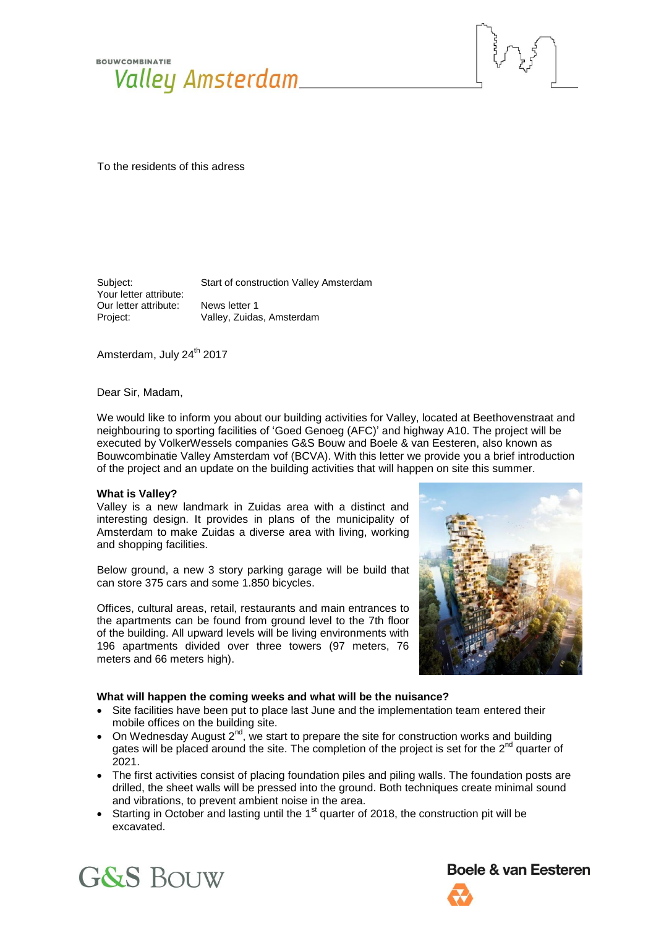



Subject: Start of construction Valley Amsterdam Your letter attribute: Our letter attribute: News letter 1 Project: Valley, Zuidas, Amsterdam

Amsterdam, July 24<sup>th</sup> 2017

Dear Sir, Madam,

We would like to inform you about our building activities for Valley, located at Beethovenstraat and neighbouring to sporting facilities of 'Goed Genoeg (AFC)' and highway A10. The project will be executed by VolkerWessels companies G&S Bouw and Boele & van Eesteren, also known as Bouwcombinatie Valley Amsterdam vof (BCVA). With this letter we provide you a brief introduction of the project and an update on the building activities that will happen on site this summer.

## **What is Valley?**

Valley is a new landmark in Zuidas area with a distinct and interesting design. It provides in plans of the municipality of Amsterdam to make Zuidas a diverse area with living, working and shopping facilities.

Below ground, a new 3 story parking garage will be build that can store 375 cars and some 1.850 bicycles.

Offices, cultural areas, retail, restaurants and main entrances to the apartments can be found from ground level to the 7th floor of the building. All upward levels will be living environments with 196 apartments divided over three towers (97 meters, 76 meters and 66 meters high).



#### **What will happen the coming weeks and what will be the nuisance?**

- Site facilities have been put to place last June and the implementation team entered their mobile offices on the building site.
- On Wednesday August  $2^{nd}$ , we start to prepare the site for construction works and building gates will be placed around the site. The completion of the project is set for the  $2^{nd}$  quarter of 2021.
- The first activities consist of placing foundation piles and piling walls. The foundation posts are drilled, the sheet walls will be pressed into the ground. Both techniques create minimal sound and vibrations, to prevent ambient noise in the area.
- Starting in October and lasting until the  $1<sup>st</sup>$  quarter of 2018, the construction pit will be excavated.